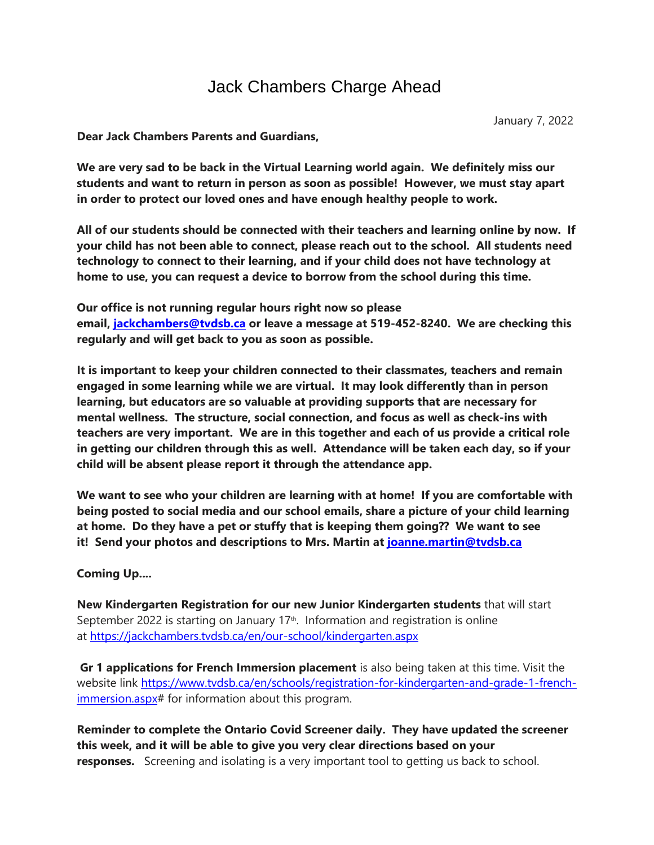## Jack Chambers Charge Ahead

**Dear Jack Chambers Parents and Guardians,**

**We are very sad to be back in the Virtual Learning world again. We definitely miss our students and want to return in person as soon as possible! However, we must stay apart in order to protect our loved ones and have enough healthy people to work.** 

**All of our students should be connected with their teachers and learning online by now. If your child has not been able to connect, please reach out to the school. All students need technology to connect to their learning, and if your child does not have technology at home to use, you can request a device to borrow from the school during this time.**

**Our office is not running regular hours right now so please email, [jackchambers@tvdsb.ca](mailto:jackchambers@tvdsb.ca) or leave a message at 519-452-8240. We are checking this regularly and will get back to you as soon as possible.**

**It is important to keep your children connected to their classmates, teachers and remain engaged in some learning while we are virtual. It may look differently than in person learning, but educators are so valuable at providing supports that are necessary for mental wellness. The structure, social connection, and focus as well as check-ins with teachers are very important. We are in this together and each of us provide a critical role in getting our children through this as well. Attendance will be taken each day, so if your child will be absent please report it through the attendance app.**

**We want to see who your children are learning with at home! If you are comfortable with being posted to social media and our school emails, share a picture of your child learning at home. Do they have a pet or stuffy that is keeping them going?? We want to see it! Send your photos and descriptions to Mrs. Martin at [joanne.martin@tvdsb.ca](mailto:joanne.martin@tvdsb.ca)**

## **Coming Up....**

**New Kindergarten Registration for our new Junior Kindergarten students** that will start September 2022 is starting on January  $17<sup>th</sup>$ . Information and registration is online at <https://jackchambers.tvdsb.ca/en/our-school/kindergarten.aspx>

**Gr 1 applications for French Immersion placement** is also being taken at this time. Visit the website link [https://www.tvdsb.ca/en/schools/registration-for-kindergarten-and-grade-1-french](https://www.tvdsb.ca/en/schools/registration-for-kindergarten-and-grade-1-french-immersion.aspx)[immersion.aspx#](https://www.tvdsb.ca/en/schools/registration-for-kindergarten-and-grade-1-french-immersion.aspx) for information about this program.

**Reminder to complete the Ontario Covid Screener daily. They have updated the screener this week, and it will be able to give you very clear directions based on your responses.** Screening and isolating is a very important tool to getting us back to school.